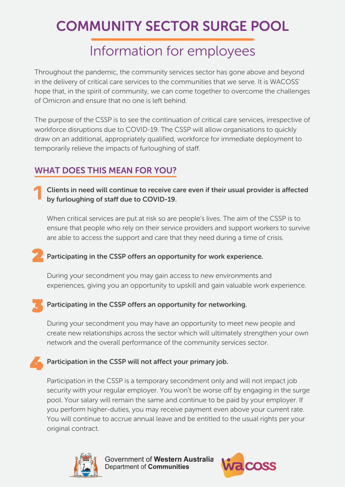# COMMUNITY SECTOR SURGE POOL

### Information for employees

Throughout the pandemic, the community services sector has gone above and beyond in the delivery of critical care services to the communities that we serve. It is WACOSS' hope that, in the spirit of community, we can come together to overcome the challenges of Omicron and ensure that no one is left behind.

The purpose of the CSSP is to see the continuation of critical care services, irrespective of workforce disruptions due to COVID-19. The CSSP will allow organisations to quickly draw on an additional, appropriately qualified, workforce for immediate deployment to temporarily relieve the impacts of furloughing of staff.

### WHAT DOES THIS MEAN FOR YOU?

Clients in need will continue to receive care even if their usual provider is affected by furloughing of staff due to COVID-19.

When critical services are put at risk so are people's lives. The aim of the CSSP is to ensure that people who rely on their service providers and support workers to survive are able to access the support and care that they need during a time of crisis.

#### Participating in the CSSP offers an opportunity for work experience.

During your secondment you may gain access to new environments and experiences, giving you an opportunity to upskill and gain valuable work experience.

#### Participating in the CSSP offers an opportunity for networking.

During your secondment you may have an opportunity to meet new people and create new relationships across the sector which will ultimately strengthen your own network and the overall performance of the community services sector.

#### $\blacktriangleright$  Participation in the CSSP will not affect your primary job.

Participation in the CSSP is a temporary secondment only and will not impact job security with your regular employer. You won't be worse off by engaging in the surge pool. Your salary will remain the same and continue to be paid by your employer. If you perform higher-duties, you may receive payment even above your current rate. You will continue to accrue annual leave and be entitled to the usual rights per your original contract.



Government of Western Australia Department of Communities